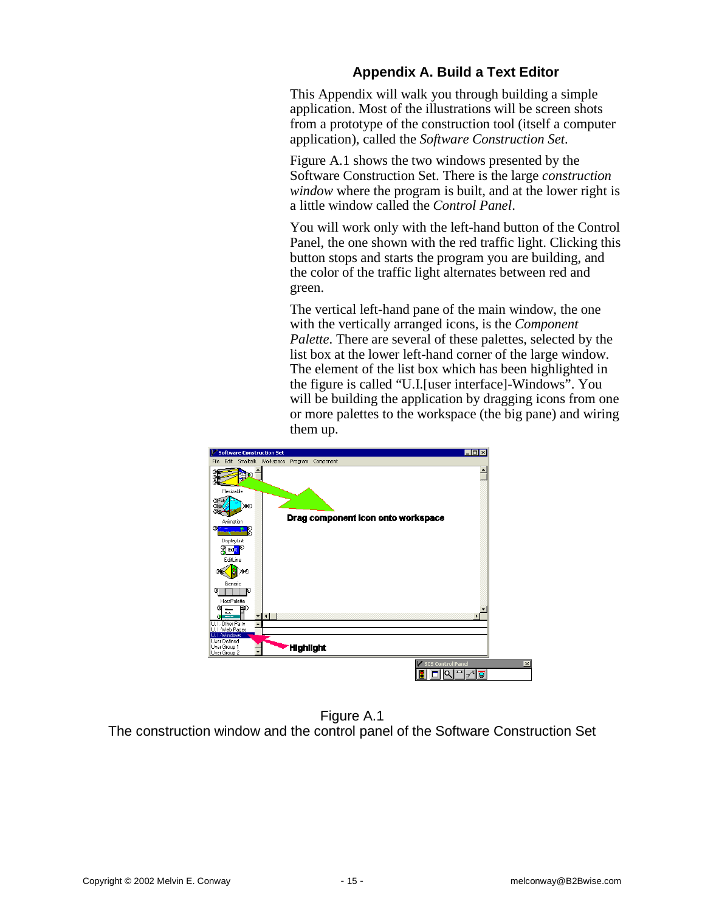# **Appendix A. Build a Text Editor**

This Appendix will walk you through building a simple application. Most of the illustrations will be screen shots from a prototype of the construction tool (itself a computer application), called the *Software Construction Set*.

Figure A.1 shows the two windows presented by the Software Construction Set. There is the large *construction window* where the program is built, and at the lower right is a little window called the *Control Panel*.

You will work only with the left-hand button of the Control Panel, the one shown with the red traffic light. Clicking this button stops and starts the program you are building, and the color of the traffic light alternates between red and green.

The vertical left-hand pane of the main window, the one with the vertically arranged icons, is the *Component Palette*. There are several of these palettes, selected by the list box at the lower left-hand corner of the large window. The element of the list box which has been highlighted in the figure is called "U.I.[user interface]-Windows". You will be building the application by dragging icons from one or more palettes to the workspace (the big pane) and wiring them up.



Figure A.1 The construction window and the control panel of the Software Construction Set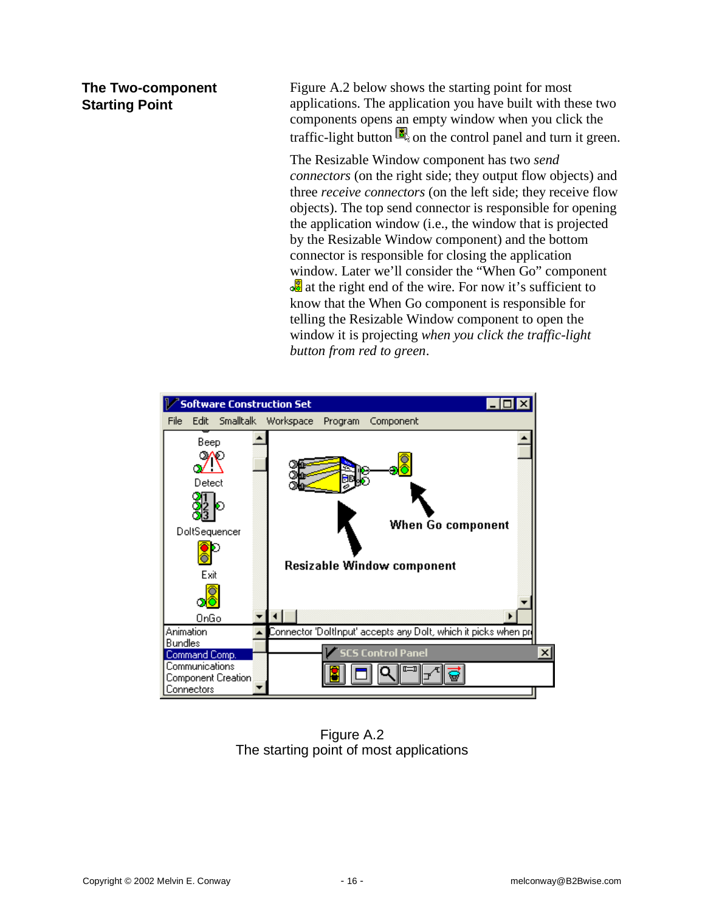## **The Two-component Starting Point**

Figure A.2 below shows the starting point for most applications. The application you have built with these two components opens an empty window when you click the traffic-light button  $\blacksquare$  on the control panel and turn it green.

The Resizable Window component has two *send connectors* (on the right side; they output flow objects) and three *receive connectors* (on the left side; they receive flow objects). The top send connector is responsible for opening the application window (i.e., the window that is projected by the Resizable Window component) and the bottom connector is responsible for closing the application window. Later we'll consider the "When Go" component **a** at the right end of the wire. For now it's sufficient to know that the When Go component is responsible for telling the Resizable Window component to open the window it is projecting *when you click the traffic-light button from red to green*.



Figure A.2 The starting point of most applications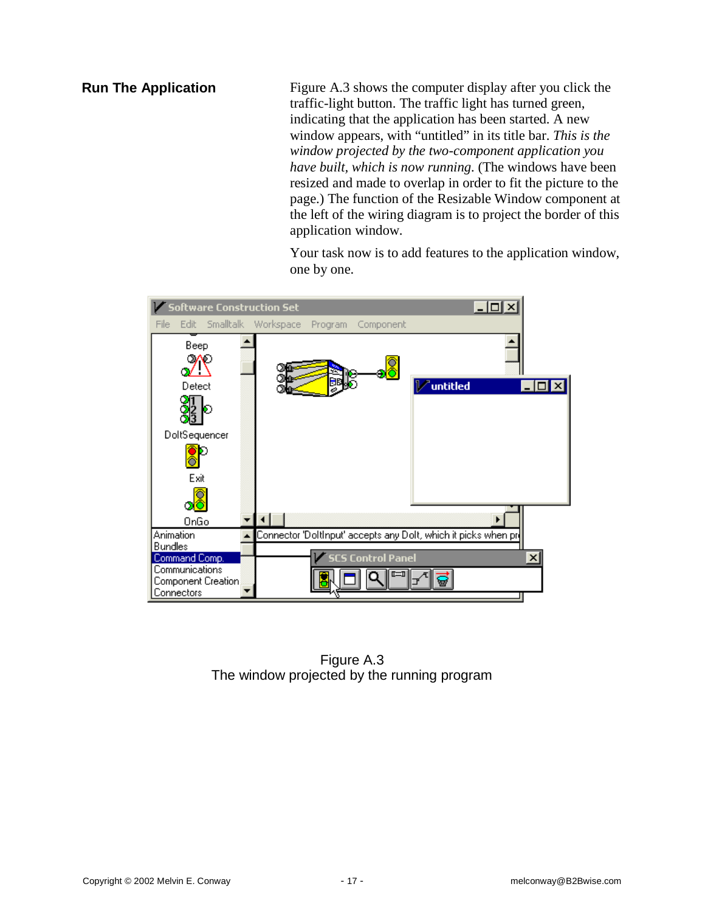**Run The Application**

Figure A.3 shows the computer display after you click the traffic-light button. The traffic light has turned green, indicating that the application has been started. A new window appears, with "untitled" in its title bar. *This is the window projected by the two-component application you have built, which is now running.* (The windows have been resized and made to overlap in order to fit the picture to the page.) The function of the Resizable Window component at the left of the wiring diagram is to project the border of this application window.

Your task now is to add features to the application window, one by one.



Figure A.3 The window projected by the running program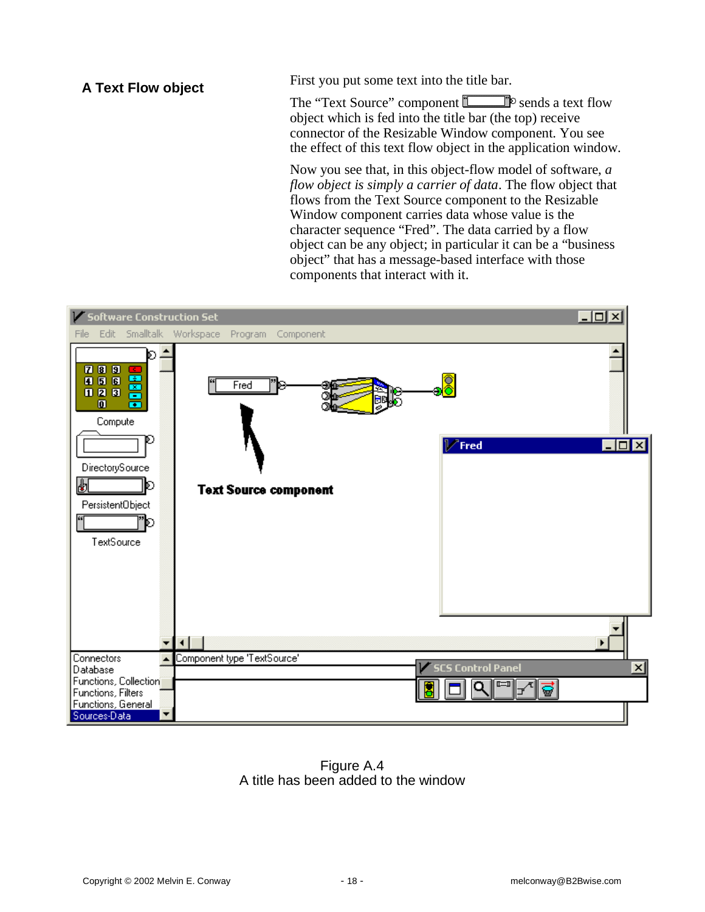**A Text Flow object**

First you put some text into the title bar.

The "Text Source" component  $\Box$  P sends a text flow object which is fed into the title bar (the top) receive connector of the Resizable Window component. You see the effect of this text flow object in the application window.

Now you see that, in this object-flow model of software, *a flow object is simply a carrier of data*. The flow object that flows from the Text Source component to the Resizable Window component carries data whose value is the character sequence "Fred". The data carried by a flow object can be any object; in particular it can be a "business object" that has a message-based interface with those components that interact with it.



Figure A.4 A title has been added to the window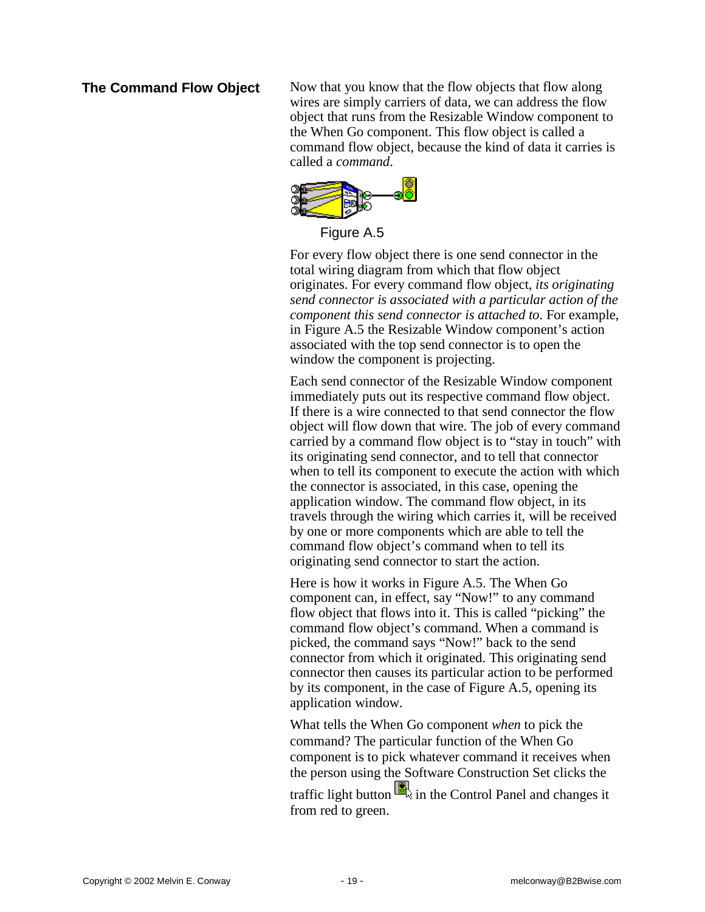### **The Command Flow Object**

Now that you know that the flow objects that flow along wires are simply carriers of data, we can address the flow object that runs from the Resizable Window component to the When Go component. This flow object is called a command flow object, because the kind of data it carries is called a *command*.



Figure A.5

For every flow object there is one send connector in the total wiring diagram from which that flow object originates. For every command flow object, *its originating send connector is associated with a particular action of the component this send connector is attached to*. For example, in Figure A.5 the Resizable Window component's action associated with the top send connector is to open the window the component is projecting.

Each send connector of the Resizable Window component immediately puts out its respective command flow object. If there is a wire connected to that send connector the flow object will flow down that wire. The job of every command carried by a command flow object is to "stay in touch" with its originating send connector, and to tell that connector when to tell its component to execute the action with which the connector is associated, in this case, opening the application window. The command flow object, in its travels through the wiring which carries it, will be received by one or more components which are able to tell the command flow object's command when to tell its originating send connector to start the action.

Here is how it works in Figure A.5. The When Go component can, in effect, say "Now!" to any command flow object that flows into it. This is called "picking" the command flow object's command. When a command is picked, the command says "Now!" back to the send connector from which it originated. This originating send connector then causes its particular action to be performed by its component, in the case of Figure A.5, opening its application window.

What tells the When Go component *when* to pick the command? The particular function of the When Go component is to pick whatever command it receives when the person using the Software Construction Set clicks the traffic light button  $\mathbb{R}$  in the Control Panel and changes it from red to green.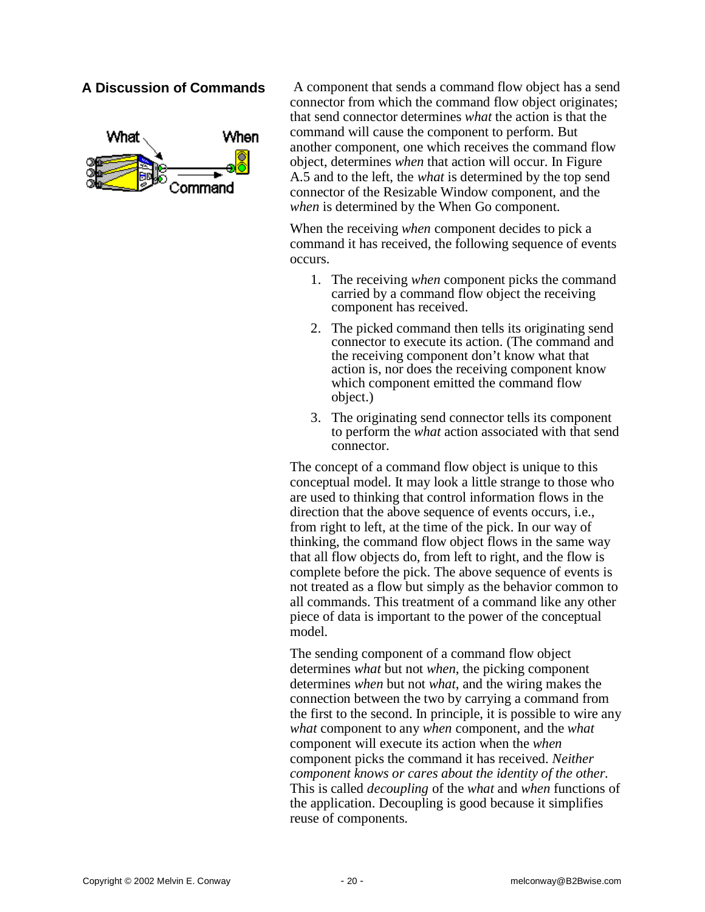## **A Discussion of Commands**



A component that sends a command flow object has a send connector from which the command flow object originates; that send connector determines *what* the action is that the command will cause the component to perform. But another component, one which receives the command flow object, determines *when* that action will occur. In Figure A.5 and to the left, the *what* is determined by the top send connector of the Resizable Window component, and the *when* is determined by the When Go component.

When the receiving *when* component decides to pick a command it has received, the following sequence of events occurs.

- 1. The receiving *when* component picks the command carried by a command flow object the receiving component has received.
- 2. The picked command then tells its originating send connector to execute its action. (The command and the receiving component don't know what that action is, nor does the receiving component know which component emitted the command flow object.)
- 3. The originating send connector tells its component to perform the *what* action associated with that send connector.

The concept of a command flow object is unique to this conceptual model. It may look a little strange to those who are used to thinking that control information flows in the direction that the above sequence of events occurs, i.e., from right to left, at the time of the pick. In our way of thinking, the command flow object flows in the same way that all flow objects do, from left to right, and the flow is complete before the pick. The above sequence of events is not treated as a flow but simply as the behavior common to all commands. This treatment of a command like any other piece of data is important to the power of the conceptual model.

The sending component of a command flow object determines *what* but not *when*, the picking component determines *when* but not *what*, and the wiring makes the connection between the two by carrying a command from the first to the second. In principle, it is possible to wire any *what* component to any *when* component, and the *what* component will execute its action when the *when* component picks the command it has received. *Neither component knows or cares about the identity of the other.* This is called *decoupling* of the *what* and *when* functions of the application. Decoupling is good because it simplifies reuse of components.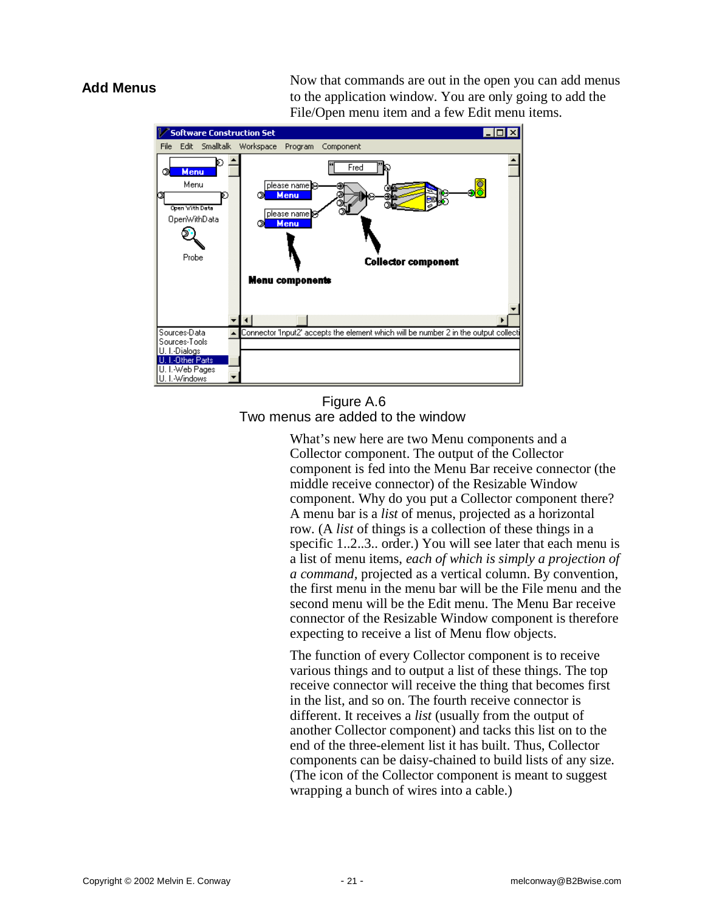### **Add Menus**

Now that commands are out in the open you can add menus to the application window. You are only going to add the File/Open menu item and a few Edit menu items.



### Figure A.6 Two menus are added to the window

What's new here are two Menu components and a Collector component. The output of the Collector component is fed into the Menu Bar receive connector (the middle receive connector) of the Resizable Window component. Why do you put a Collector component there? A menu bar is a *list* of menus, projected as a horizontal row. (A *list* of things is a collection of these things in a specific 1..2..3.. order.) You will see later that each menu is a list of menu items, *each of which is simply a projection of a command,* projected as a vertical column. By convention, the first menu in the menu bar will be the File menu and the second menu will be the Edit menu. The Menu Bar receive connector of the Resizable Window component is therefore expecting to receive a list of Menu flow objects.

The function of every Collector component is to receive various things and to output a list of these things. The top receive connector will receive the thing that becomes first in the list, and so on. The fourth receive connector is different. It receives a *list* (usually from the output of another Collector component) and tacks this list on to the end of the three-element list it has built. Thus, Collector components can be daisy-chained to build lists of any size. (The icon of the Collector component is meant to suggest wrapping a bunch of wires into a cable.)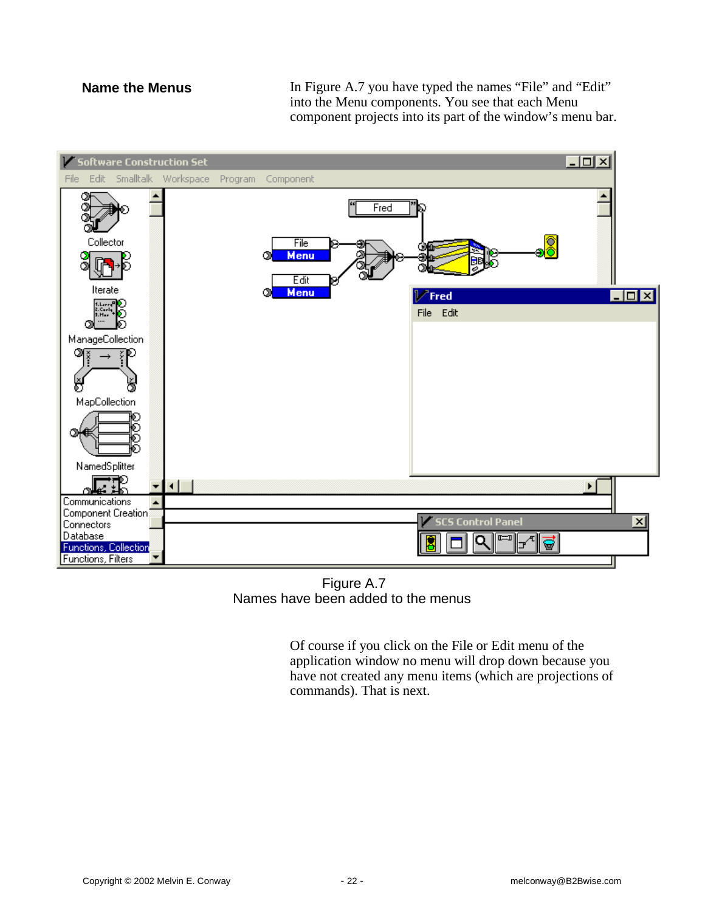### **Name the Menus**

In Figure A.7 you have typed the names "File" and "Edit" into the Menu components. You see that each Menu component projects into its part of the window's menu bar.



Figure A.7 Names have been added to the menus

Of course if you click on the File or Edit menu of the application window no menu will drop down because you have not created any menu items (which are projections of commands). That is next.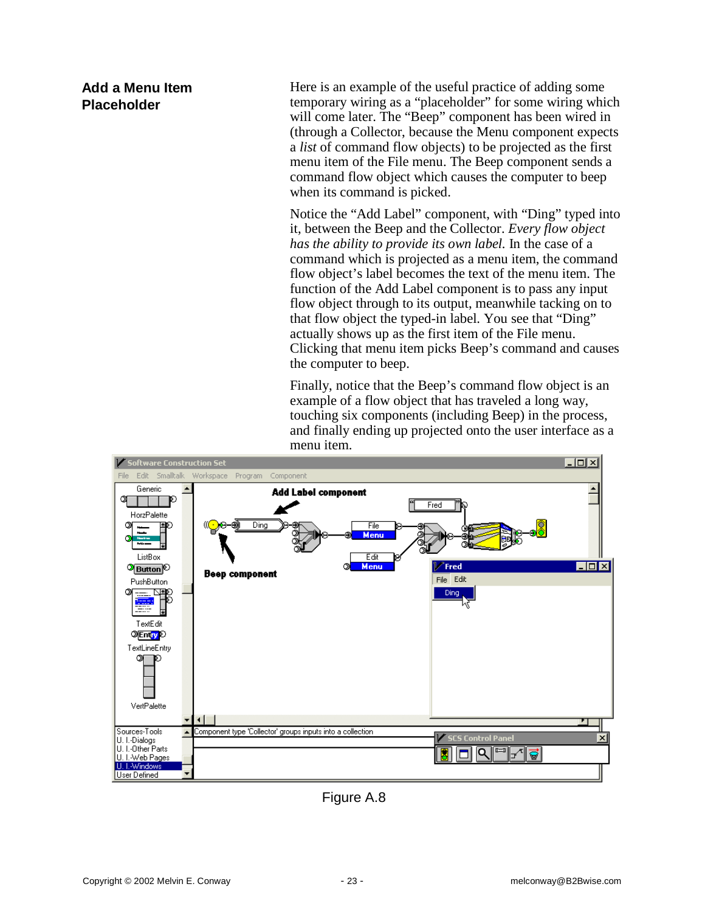# **Add a Menu Item Placeholder**

Here is an example of the useful practice of adding some temporary wiring as a "placeholder" for some wiring which will come later. The "Beep" component has been wired in (through a Collector, because the Menu component expects a *list* of command flow objects) to be projected as the first menu item of the File menu. The Beep component sends a command flow object which causes the computer to beep when its command is picked.

Notice the "Add Label" component, with "Ding" typed into it, between the Beep and the Collector. *Every flow object has the ability to provide its own label.* In the case of a command which is projected as a menu item, the command flow object's label becomes the text of the menu item. The function of the Add Label component is to pass any input flow object through to its output, meanwhile tacking on to that flow object the typed-in label. You see that "Ding" actually shows up as the first item of the File menu. Clicking that menu item picks Beep's command and causes the computer to beep.

Finally, notice that the Beep's command flow object is an example of a flow object that has traveled a long way, touching six components (including Beep) in the process, and finally ending up projected onto the user interface as a menu item.



Figure A.8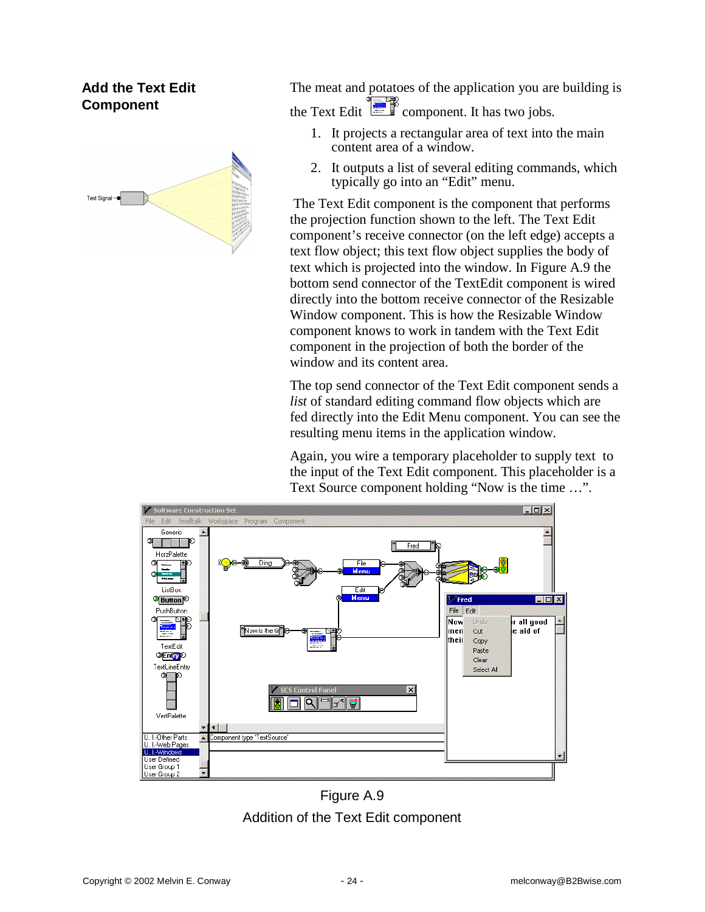# **Add the Text Edit Component**



The meat and potatoes of the application you are building is the Text Edit  $\begin{array}{c} \begin{array}{c} \hline \end{array} \end{array}$  component. It has two jobs.

- 1. It projects a rectangular area of text into the main content area of a window.
- 2. It outputs a list of several editing commands, which typically go into an "Edit" menu.

The Text Edit component is the component that performs the projection function shown to the left. The Text Edit component's receive connector (on the left edge) accepts a text flow object; this text flow object supplies the body of text which is projected into the window. In Figure A.9 the bottom send connector of the TextEdit component is wired directly into the bottom receive connector of the Resizable Window component. This is how the Resizable Window component knows to work in tandem with the Text Edit component in the projection of both the border of the window and its content area.

The top send connector of the Text Edit component sends a *list* of standard editing command flow objects which are fed directly into the Edit Menu component. You can see the resulting menu items in the application window.

Again, you wire a temporary placeholder to supply text to the input of the Text Edit component. This placeholder is a Text Source component holding "Now is the time …".



Figure A.9 Addition of the Text Edit component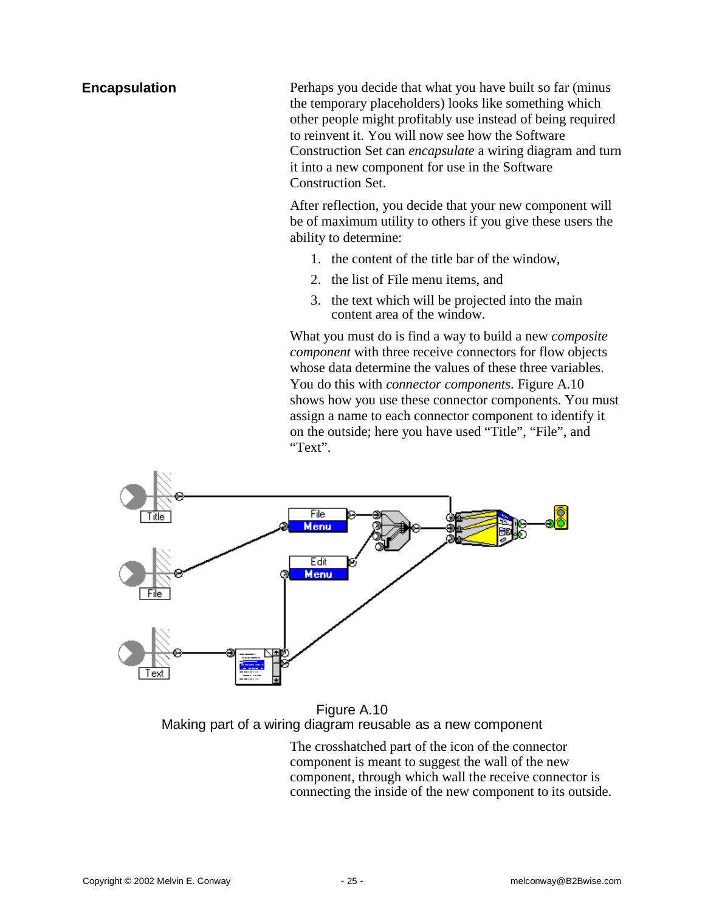### **Encapsulation**

Perhaps you decide that what you have built so far (minus the temporary placeholders) looks like something which other people might profitably use instead of being required to reinvent it. You will now see how the Software Construction Set can *encapsulate* a wiring diagram and turn it into a new component for use in the Software Construction Set.

After reflection, you decide that your new component will be of maximum utility to others if you give these users the ability to determine:

- 1. the content of the title bar of the window,
- 2. the list of File menu items, and
- 3. the text which will be projected into the main content area of the window.

What you must do is find a way to build a new *composite component* with three receive connectors for flow objects whose data determine the values of these three variables. You do this with *connector components*. Figure A.10 shows how you use these connector components. You must assign a name to each connector component to identify it on the outside; here you have used "Title", "File", and "Text".



Figure A.10 Making part of a wiring diagram reusable as a new component

The crosshatched part of the icon of the connector component is meant to suggest the wall of the new component, through which wall the receive connector is connecting the inside of the new component to its outside.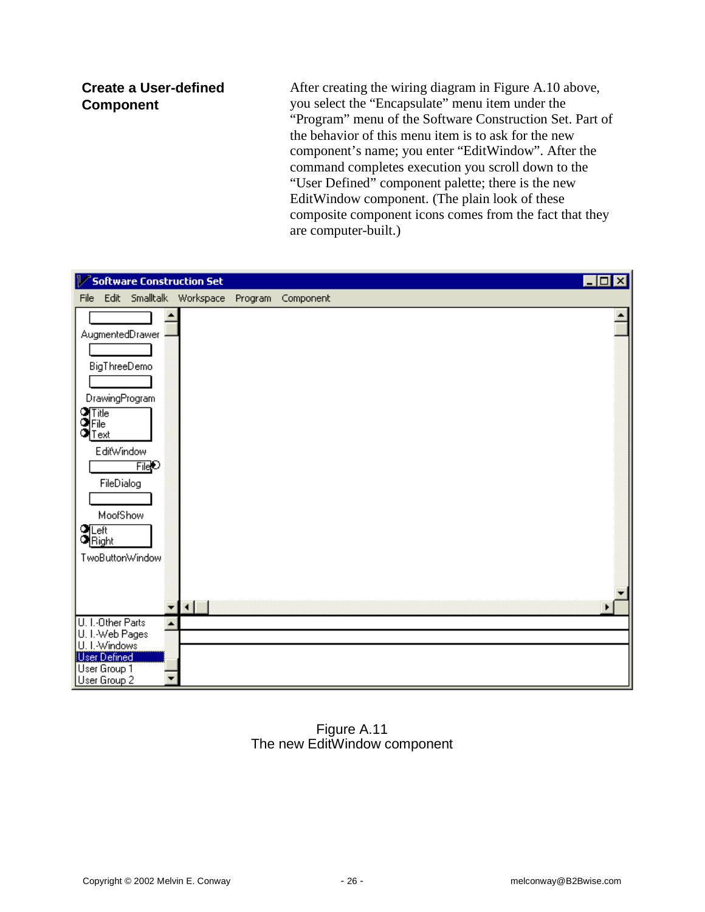### **Create a User-defined Component**

After creating the wiring diagram in Figure A.10 above, you select the "Encapsulate" menu item under the "Program" menu of the Software Construction Set. Part of the behavior of this menu item is to ask for the new component's name; you enter "EditWindow". After the command completes execution you scroll down to the "User Defined" component palette; there is the new EditWindow component. (The plain look of these composite component icons comes from the fact that they are computer-built.)



### Figure A.11 The new EditWindow component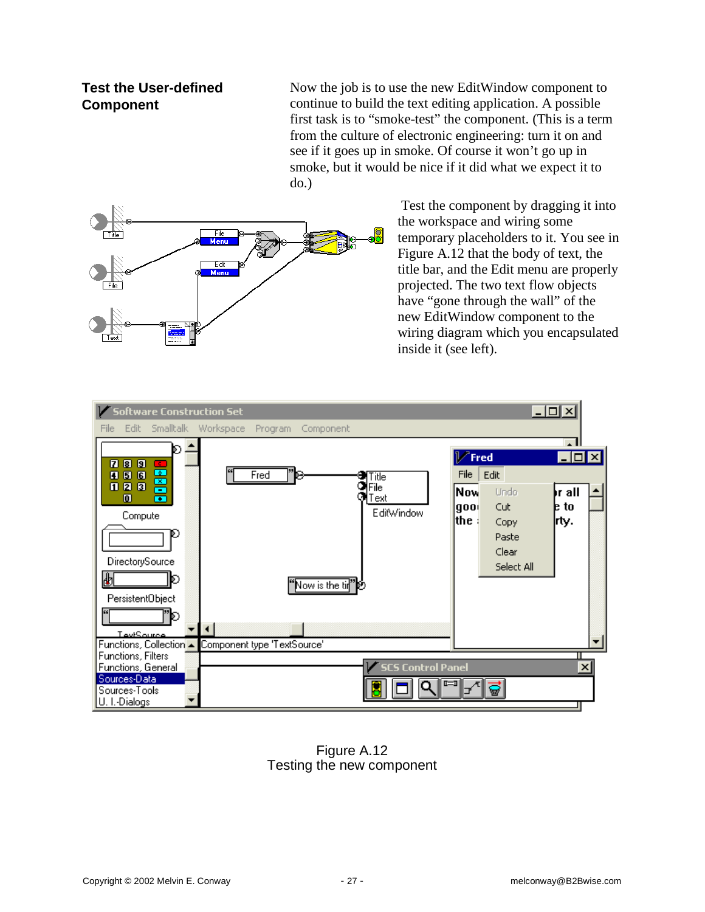## **Test the User-defined Component**

Now the job is to use the new EditWindow component to continue to build the text editing application. A possible first task is to "smoke-test" the component. (This is a term from the culture of electronic engineering: turn it on and see if it goes up in smoke. Of course it won't go up in smoke, but it would be nice if it did what we expect it to do.)



Test the component by dragging it into the workspace and wiring some temporary placeholders to it. You see in Figure A.12 that the body of text, the title bar, and the Edit menu are properly projected. The two text flow objects have "gone through the wall" of the new EditWindow component to the wiring diagram which you encapsulated inside it (see left).



Figure A.12 Testing the new component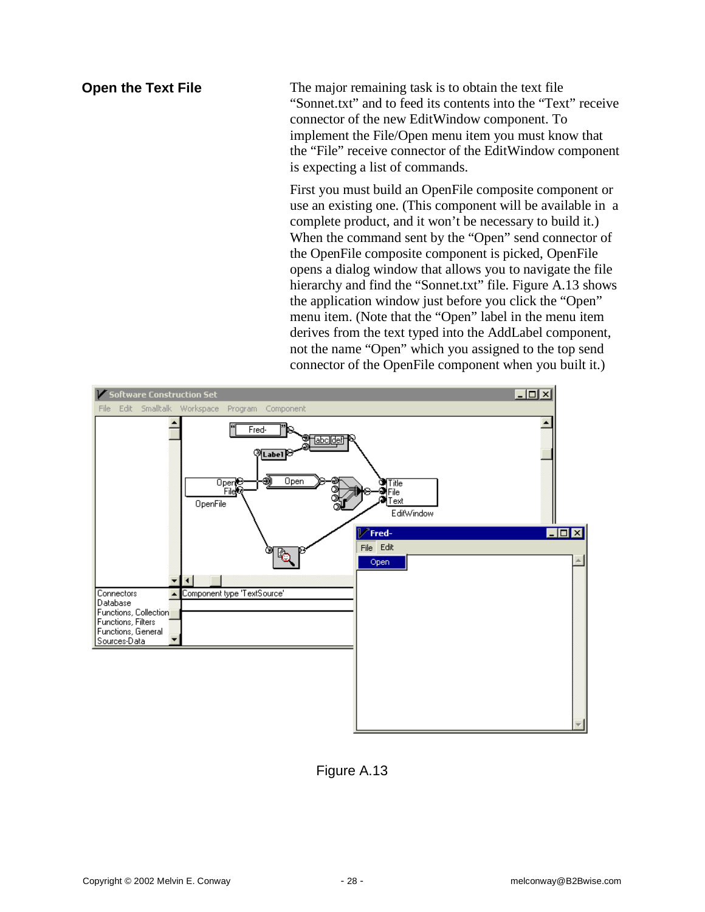### **Open the Text File**

The major remaining task is to obtain the text file "Sonnet.txt" and to feed its contents into the "Text" receive connector of the new EditWindow component. To implement the File/Open menu item you must know that the "File" receive connector of the EditWindow component is expecting a list of commands.

First you must build an OpenFile composite component or use an existing one. (This component will be available in a complete product, and it won't be necessary to build it.) When the command sent by the "Open" send connector of the OpenFile composite component is picked, OpenFile opens a dialog window that allows you to navigate the file hierarchy and find the "Sonnet.txt" file. Figure A.13 shows the application window just before you click the "Open" menu item. (Note that the "Open" label in the menu item derives from the text typed into the AddLabel component, not the name "Open" which you assigned to the top send connector of the OpenFile component when you built it.)



Figure A.13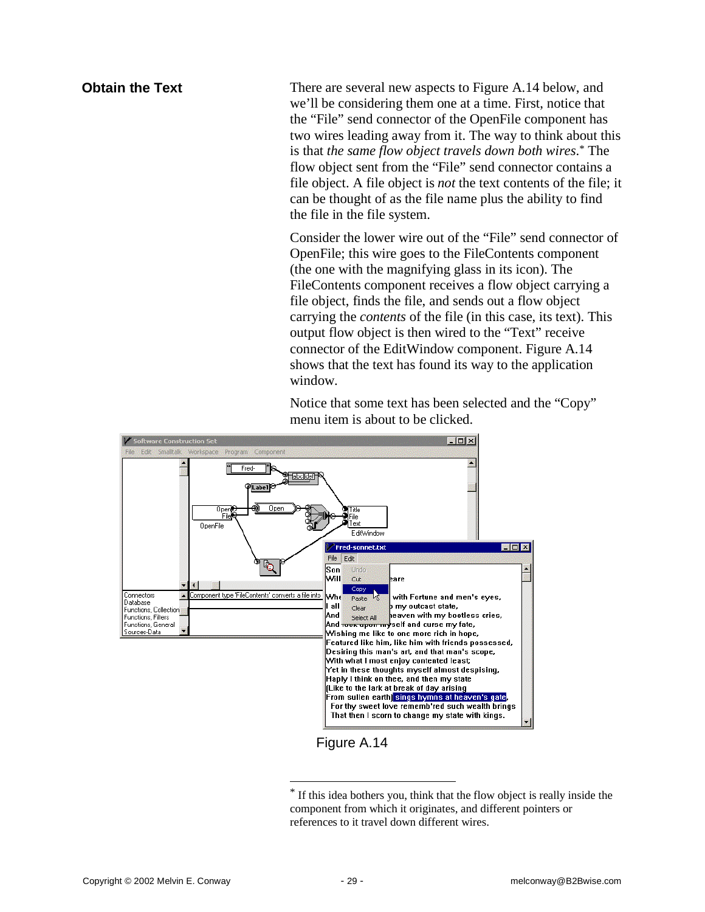#### **Obtain the Text**

There are several new aspects to Figure A.14 below, and we'll be considering them one at a time. First, notice that the "File" send connector of the OpenFile component has two wires leading away from it. The way to think about this is that *the same flow object travels down both wires*. \* The flow object sent from the "File" send connector contains a file object. A file object is *not* the text contents of the file; it can be thought of as the file name plus the ability to find the file in the file system.

Consider the lower wire out of the "File" send connector of OpenFile; this wire goes to the FileContents component (the one with the magnifying glass in its icon). The FileContents component receives a flow object carrying a file object, finds the file, and sends out a flow object carrying the *contents* of the file (in this case, its text). This output flow object is then wired to the "Text" receive connector of the EditWindow component. Figure A.14 shows that the text has found its way to the application window.

Notice that some text has been selected and the "Copy" menu item is about to be clicked.



Figure A.14

 $\overline{\phantom{a}}$ 

<sup>\*</sup> If this idea bothers you, think that the flow object is really inside the component from which it originates, and different pointers or references to it travel down different wires.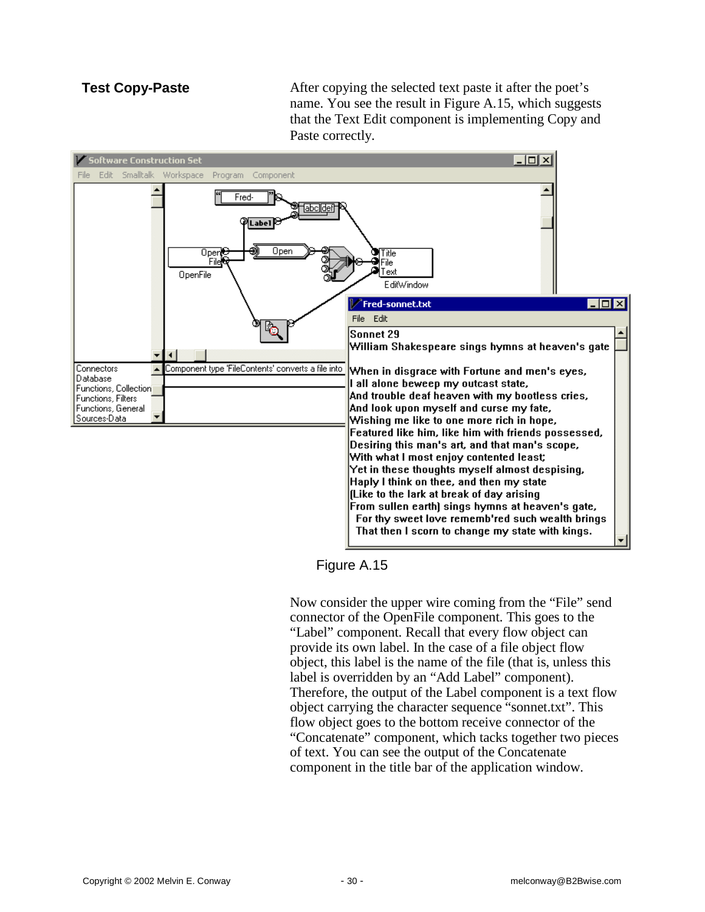### **Test Copy-Paste**

After copying the selected text paste it after the poet's name. You see the result in Figure A.15, which suggests that the Text Edit component is implementing Copy and Paste correctly.



Figure A.15

Now consider the upper wire coming from the "File" send connector of the OpenFile component. This goes to the "Label" component. Recall that every flow object can provide its own label. In the case of a file object flow object, this label is the name of the file (that is, unless this label is overridden by an "Add Label" component). Therefore, the output of the Label component is a text flow object carrying the character sequence "sonnet.txt". This flow object goes to the bottom receive connector of the "Concatenate" component, which tacks together two pieces of text. You can see the output of the Concatenate component in the title bar of the application window.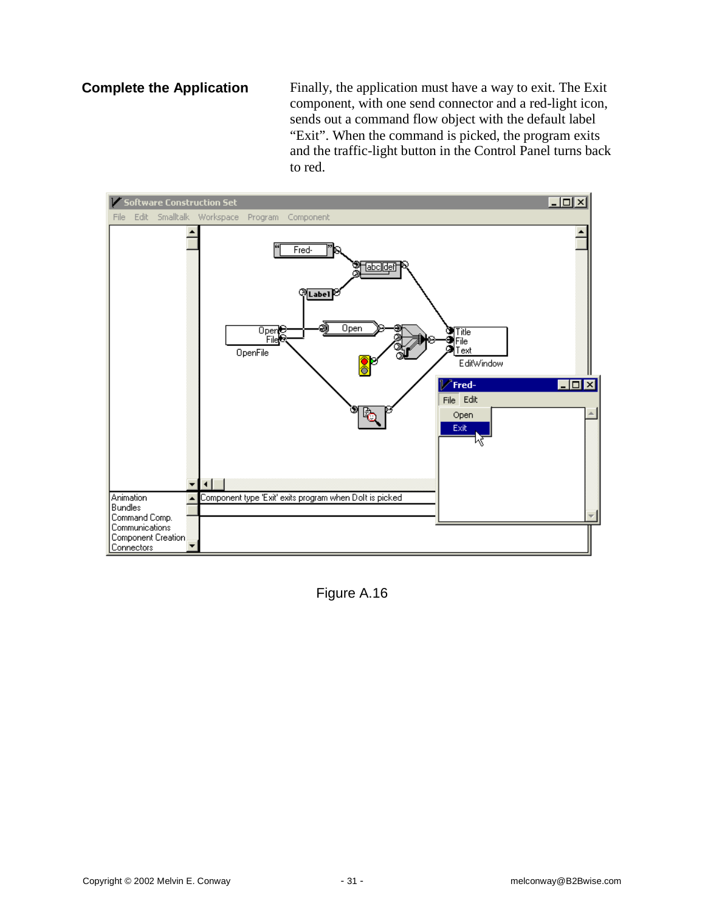### **Complete the Application**

Finally, the application must have a way to exit. The Exit component, with one send connector and a red-light icon, sends out a command flow object with the default label "Exit". When the command is picked, the program exits and the traffic-light button in the Control Panel turns back to red.



Figure A.16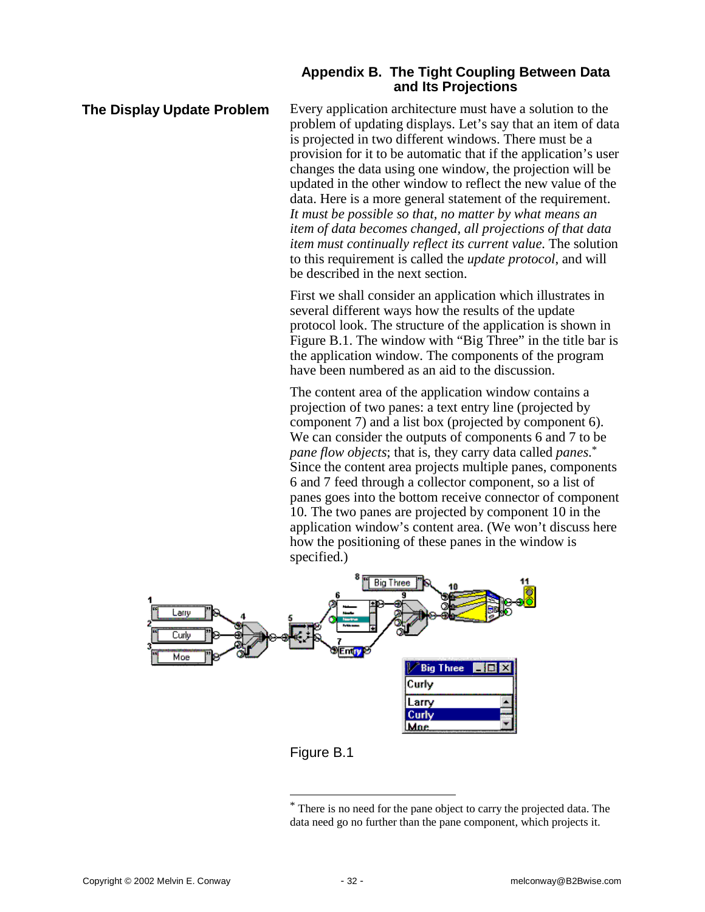#### **Appendix B. The Tight Coupling Between Data and Its Projections**

#### **The Display Update Problem**

Every application architecture must have a solution to the problem of updating displays. Let's say that an item of data is projected in two different windows. There must be a provision for it to be automatic that if the application's user changes the data using one window, the projection will be updated in the other window to reflect the new value of the data. Here is a more general statement of the requirement. *It must be possible so that, no matter by what means an item of data becomes changed, all projections of that data item must continually reflect its current value.* The solution to this requirement is called the *update protocol*, and will be described in the next section.

First we shall consider an application which illustrates in several different ways how the results of the update protocol look. The structure of the application is shown in Figure B.1. The window with "Big Three" in the title bar is the application window. The components of the program have been numbered as an aid to the discussion.

The content area of the application window contains a projection of two panes: a text entry line (projected by component 7) and a list box (projected by component 6). We can consider the outputs of components 6 and 7 to be *pane flow objects*; that is, they carry data called *panes*. \* Since the content area projects multiple panes, components 6 and 7 feed through a collector component, so a list of panes goes into the bottom receive connector of component 10. The two panes are projected by component 10 in the application window's content area. (We won't discuss here how the positioning of these panes in the window is specified.)





 $\overline{\phantom{a}}$ 

<sup>\*</sup> There is no need for the pane object to carry the projected data. The data need go no further than the pane component, which projects it.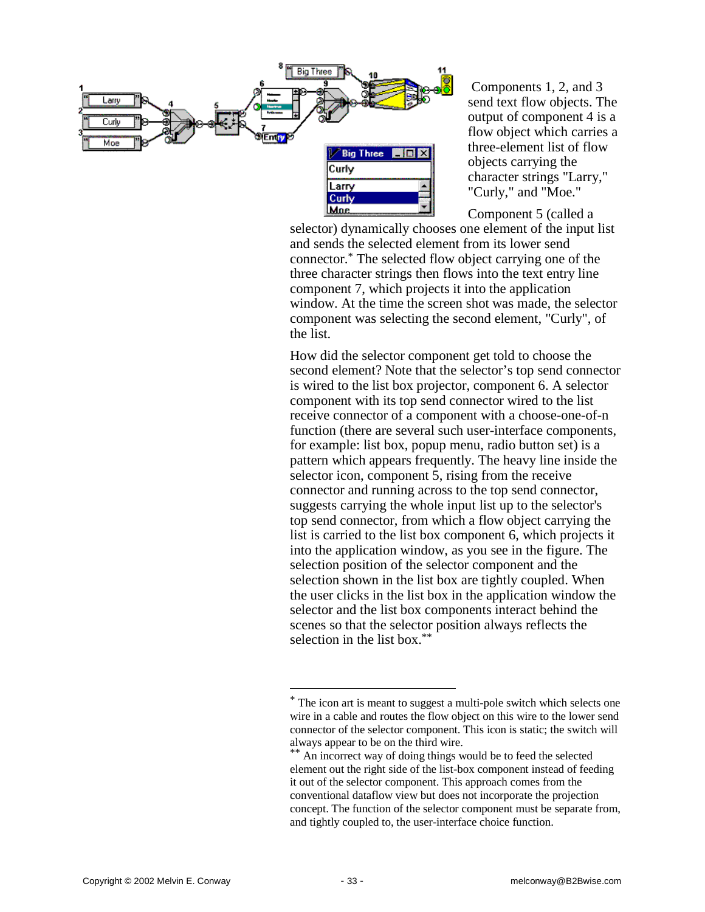

Components 1, 2, and 3 send text flow objects. The output of component 4 is a flow object which carries a three-element list of flow objects carrying the character strings "Larry," "Curly," and "Moe."

Component 5 (called a

selector) dynamically chooses one element of the input list and sends the selected element from its lower send connector.\* The selected flow object carrying one of the three character strings then flows into the text entry line component 7, which projects it into the application window. At the time the screen shot was made, the selector component was selecting the second element, "Curly", of the list.

How did the selector component get told to choose the second element? Note that the selector's top send connector is wired to the list box projector, component 6. A selector component with its top send connector wired to the list receive connector of a component with a choose-one-of-n function (there are several such user-interface components, for example: list box, popup menu, radio button set) is a pattern which appears frequently. The heavy line inside the selector icon, component 5, rising from the receive connector and running across to the top send connector, suggests carrying the whole input list up to the selector's top send connector, from which a flow object carrying the list is carried to the list box component 6, which projects it into the application window, as you see in the figure. The selection position of the selector component and the selection shown in the list box are tightly coupled. When the user clicks in the list box in the application window the selector and the list box components interact behind the scenes so that the selector position always reflects the selection in the list box.\*\*

 $\overline{\phantom{a}}$ 

<sup>\*</sup> The icon art is meant to suggest a multi-pole switch which selects one wire in a cable and routes the flow object on this wire to the lower send connector of the selector component. This icon is static; the switch will always appear to be on the third wire.

<sup>\*\*</sup> An incorrect way of doing things would be to feed the selected element out the right side of the list-box component instead of feeding it out of the selector component. This approach comes from the conventional dataflow view but does not incorporate the projection concept. The function of the selector component must be separate from, and tightly coupled to, the user-interface choice function.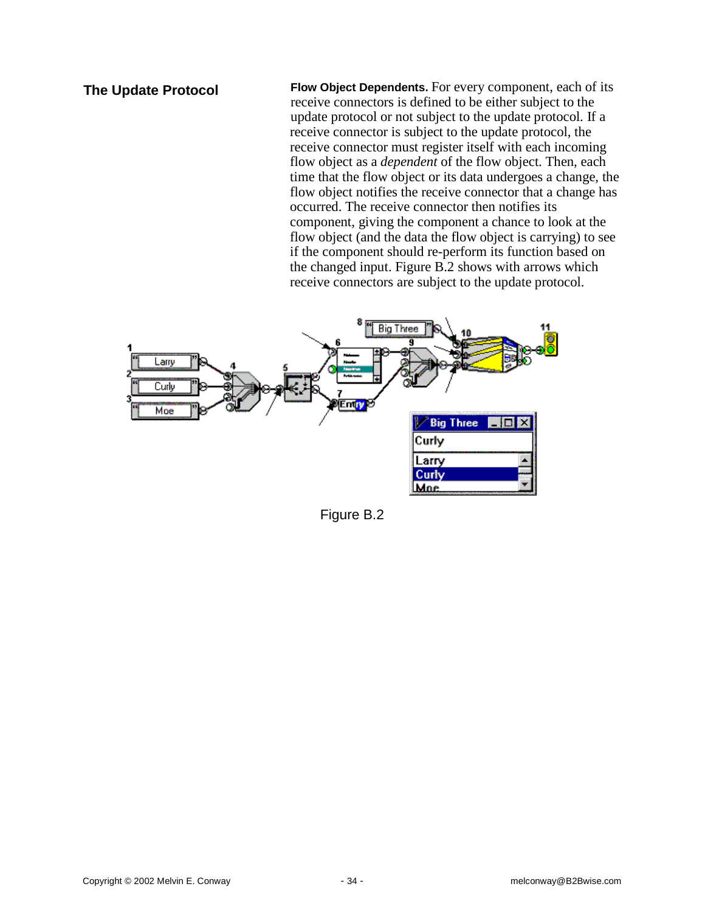### **The Update Protocol**

**Flow Object Dependents.** For every component, each of its receive connectors is defined to be either subject to the update protocol or not subject to the update protocol. If a receive connector is subject to the update protocol, the receive connector must register itself with each incoming flow object as a *dependent* of the flow object. Then, each time that the flow object or its data undergoes a change, the flow object notifies the receive connector that a change has occurred. The receive connector then notifies its component, giving the component a chance to look at the flow object (and the data the flow object is carrying) to see if the component should re-perform its function based on the changed input. Figure B.2 shows with arrows which receive connectors are subject to the update protocol.



Figure B.2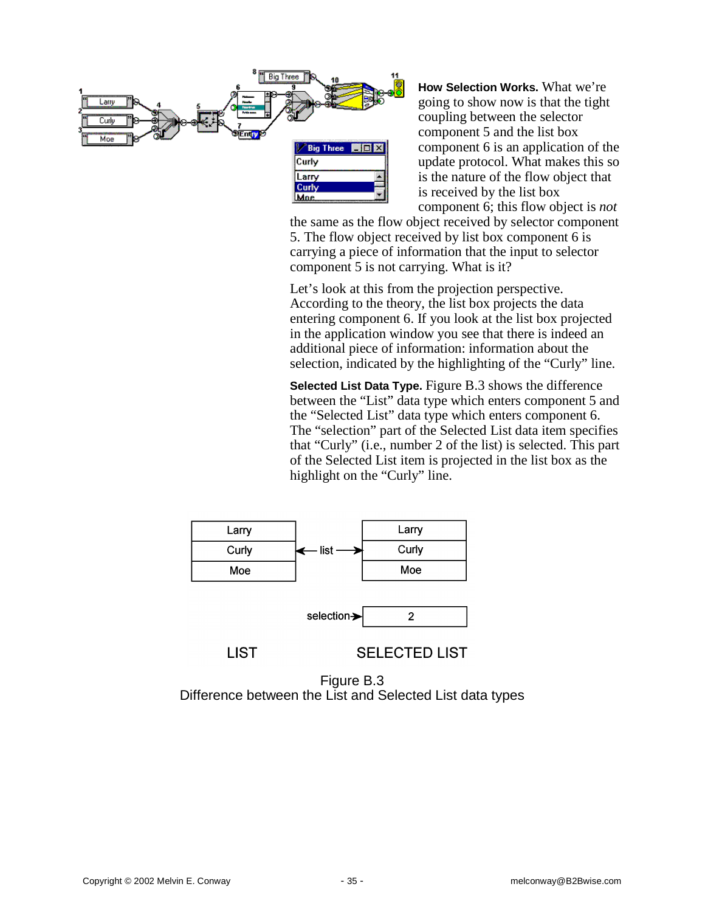

**How Selection Works.** What we're going to show now is that the tight coupling between the selector component 5 and the list box component 6 is an application of the update protocol. What makes this so is the nature of the flow object that is received by the list box component 6; this flow object is *not*

the same as the flow object received by selector component 5. The flow object received by list box component 6 is carrying a piece of information that the input to selector component 5 is not carrying. What is it?

Let's look at this from the projection perspective. According to the theory, the list box projects the data entering component 6. If you look at the list box projected in the application window you see that there is indeed an additional piece of information: information about the selection, indicated by the highlighting of the "Curly" line.

**Selected List Data Type.** Figure B.3 shows the difference between the "List" data type which enters component 5 and the "Selected List" data type which enters component 6. The "selection" part of the Selected List data item specifies that "Curly" (i.e., number 2 of the list) is selected. This part of the Selected List item is projected in the list box as the highlight on the "Curly" line.



**LIST** 

**SELECTED LIST** 

Figure B.3 Difference between the List and Selected List data types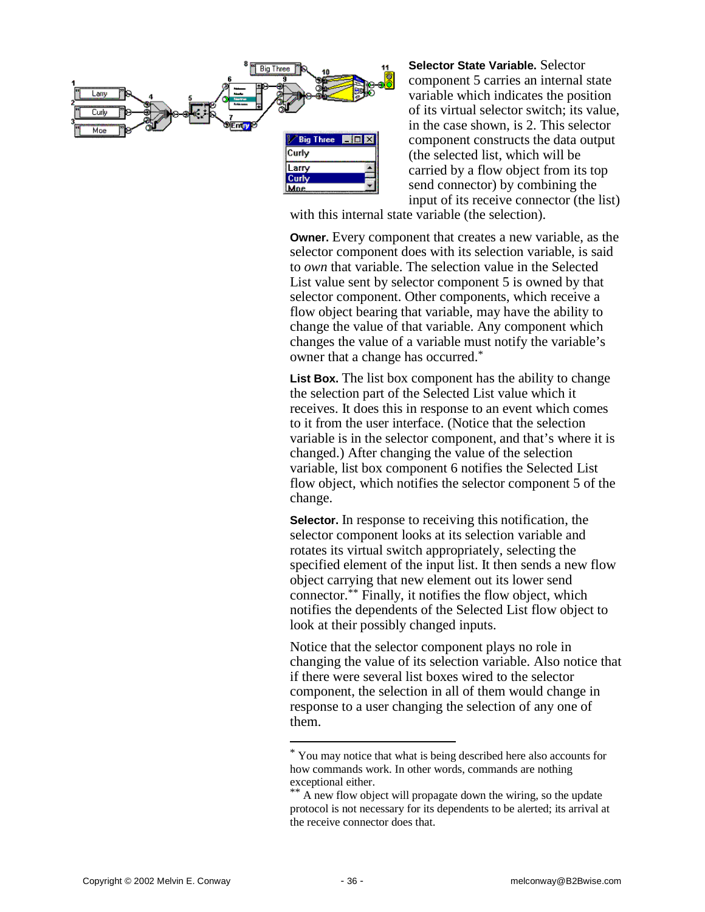

**Selector State Variable.** Selector component 5 carries an internal state variable which indicates the position of its virtual selector switch; its value, in the case shown, is 2. This selector component constructs the data output (the selected list, which will be carried by a flow object from its top send connector) by combining the input of its receive connector (the list)

with this internal state variable (the selection).

**Owner.** Every component that creates a new variable, as the selector component does with its selection variable, is said to *own* that variable. The selection value in the Selected List value sent by selector component 5 is owned by that selector component. Other components, which receive a flow object bearing that variable, may have the ability to change the value of that variable. Any component which changes the value of a variable must notify the variable's owner that a change has occurred.\*

**List Box.** The list box component has the ability to change the selection part of the Selected List value which it receives. It does this in response to an event which comes to it from the user interface. (Notice that the selection variable is in the selector component, and that's where it is changed.) After changing the value of the selection variable, list box component 6 notifies the Selected List flow object, which notifies the selector component 5 of the change.

**Selector.** In response to receiving this notification, the selector component looks at its selection variable and rotates its virtual switch appropriately, selecting the specified element of the input list. It then sends a new flow object carrying that new element out its lower send connector.\*\* Finally, it notifies the flow object, which notifies the dependents of the Selected List flow object to look at their possibly changed inputs.

Notice that the selector component plays no role in changing the value of its selection variable. Also notice that if there were several list boxes wired to the selector component, the selection in all of them would change in response to a user changing the selection of any one of them.

 $\overline{\phantom{a}}$ 

<sup>\*</sup> You may notice that what is being described here also accounts for how commands work. In other words, commands are nothing exceptional either.

<sup>\*\*</sup> A new flow object will propagate down the wiring, so the update protocol is not necessary for its dependents to be alerted; its arrival at the receive connector does that.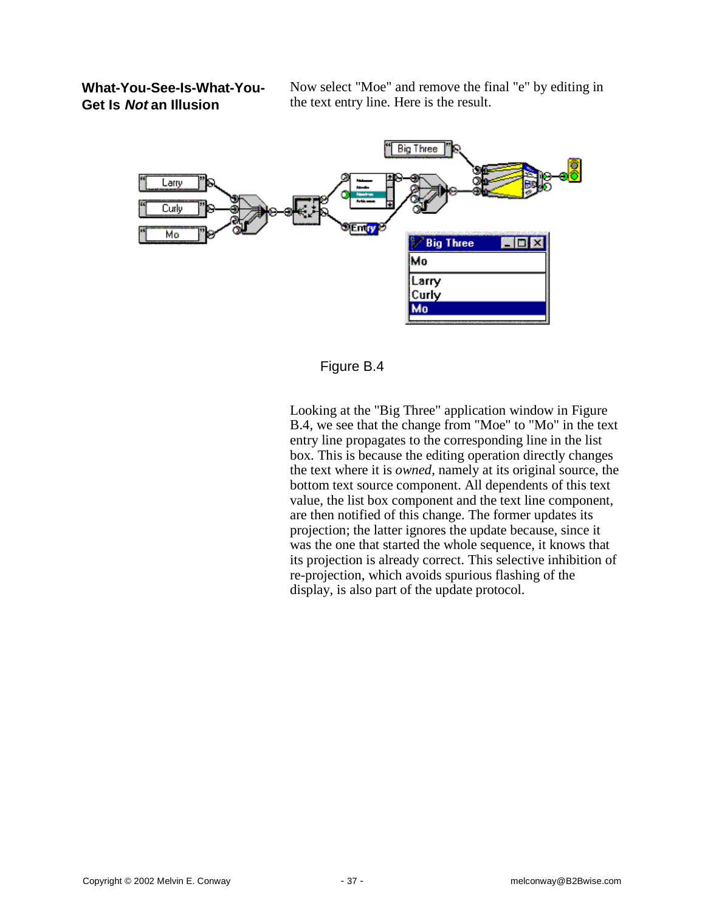**What-You-See-Is-What-You-Get Is Not an Illusion**

Now select "Moe" and remove the final "e" by editing in the text entry line. Here is the result.



Figure B.4

Looking at the "Big Three" application window in Figure B.4, we see that the change from "Moe" to "Mo" in the text entry line propagates to the corresponding line in the list box. This is because the editing operation directly changes the text where it is *owned*, namely at its original source, the bottom text source component. All dependents of this text value, the list box component and the text line component, are then notified of this change. The former updates its projection; the latter ignores the update because, since it was the one that started the whole sequence, it knows that its projection is already correct. This selective inhibition of re-projection, which avoids spurious flashing of the display, is also part of the update protocol.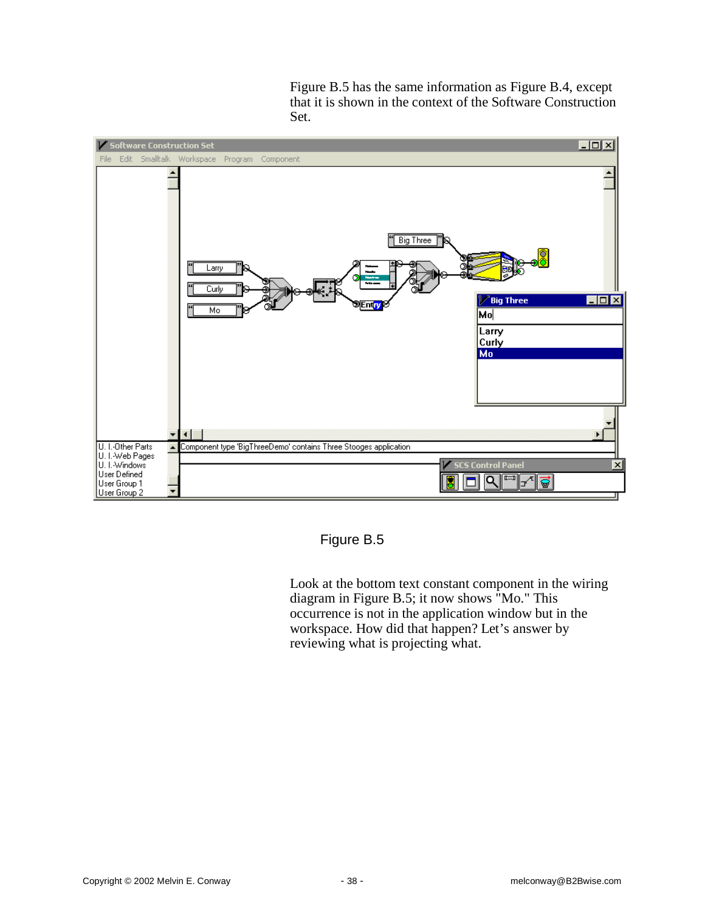Figure B.5 has the same information as Figure B.4, except that it is shown in the context of the Software Construction Set.



Figure B.5

Look at the bottom text constant component in the wiring diagram in Figure B.5; it now shows "Mo." This occurrence is not in the application window but in the workspace. How did that happen? Let's answer by reviewing what is projecting what.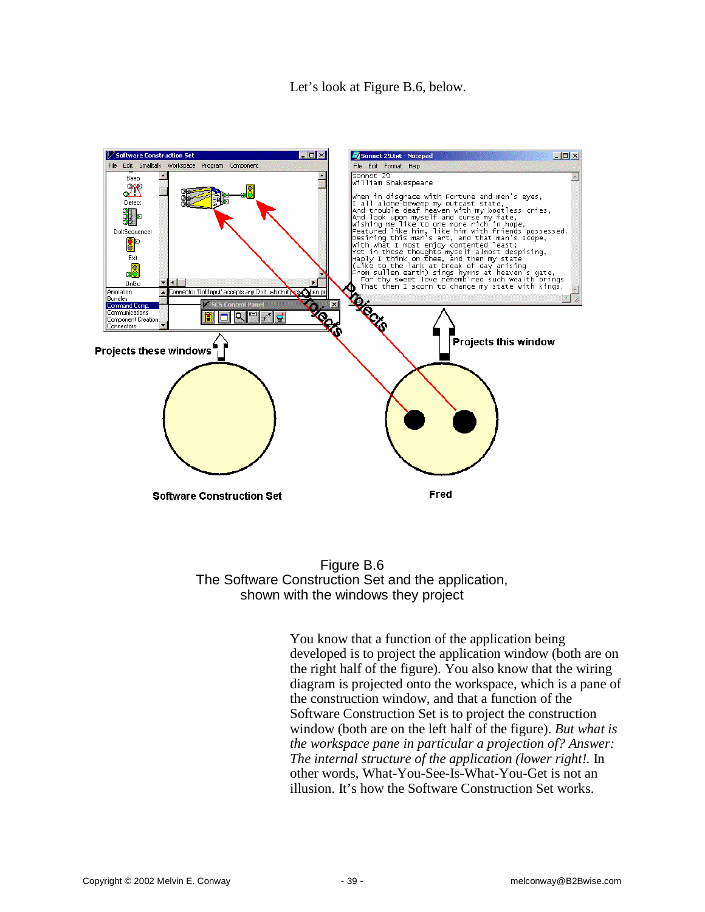Let's look at Figure B.6, below.



Figure B.6 The Software Construction Set and the application, shown with the windows they project

You know that a function of the application being developed is to project the application window (both are on the right half of the figure). You also know that the wiring diagram is projected onto the workspace, which is a pane of the construction window, and that a function of the Software Construction Set is to project the construction window (both are on the left half of the figure). *But what is the workspace pane in particular a projection of? Answer: The internal structure of the application (lower right!.* In other words, What-You-See-Is-What-You-Get is not an illusion. It's how the Software Construction Set works.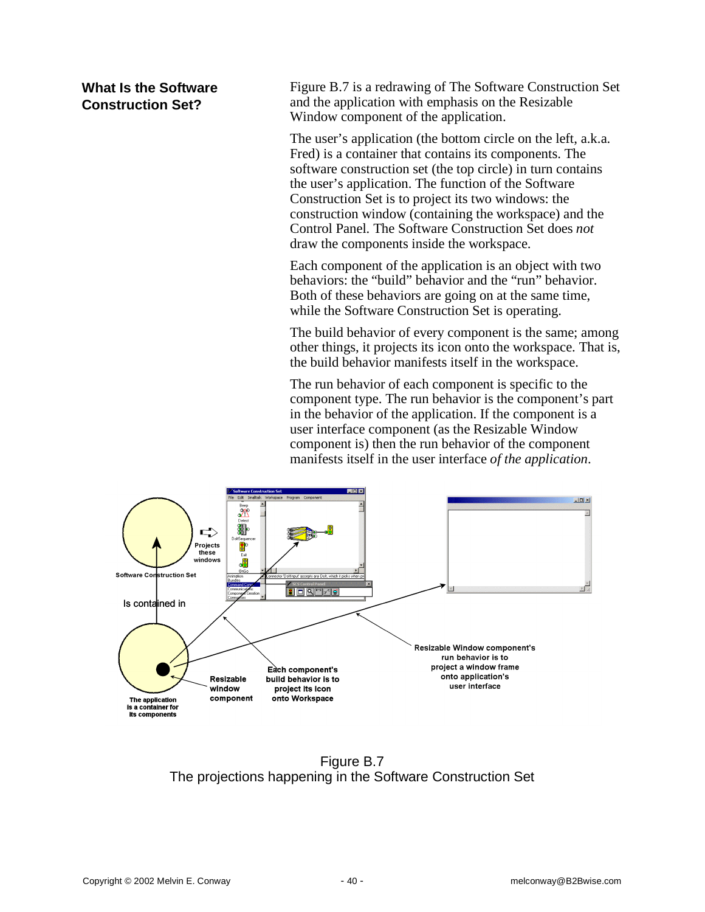# **What Is the Software Construction Set?**

Figure B.7 is a redrawing of The Software Construction Set and the application with emphasis on the Resizable Window component of the application.

The user's application (the bottom circle on the left, a.k.a. Fred) is a container that contains its components. The software construction set (the top circle) in turn contains the user's application. The function of the Software Construction Set is to project its two windows: the construction window (containing the workspace) and the Control Panel. The Software Construction Set does *not* draw the components inside the workspace.

Each component of the application is an object with two behaviors: the "build" behavior and the "run" behavior. Both of these behaviors are going on at the same time, while the Software Construction Set is operating.

The build behavior of every component is the same; among other things, it projects its icon onto the workspace. That is, the build behavior manifests itself in the workspace.

The run behavior of each component is specific to the component type. The run behavior is the component's part in the behavior of the application. If the component is a user interface component (as the Resizable Window component is) then the run behavior of the component manifests itself in the user interface *of the application*.



Figure B.7 The projections happening in the Software Construction Set